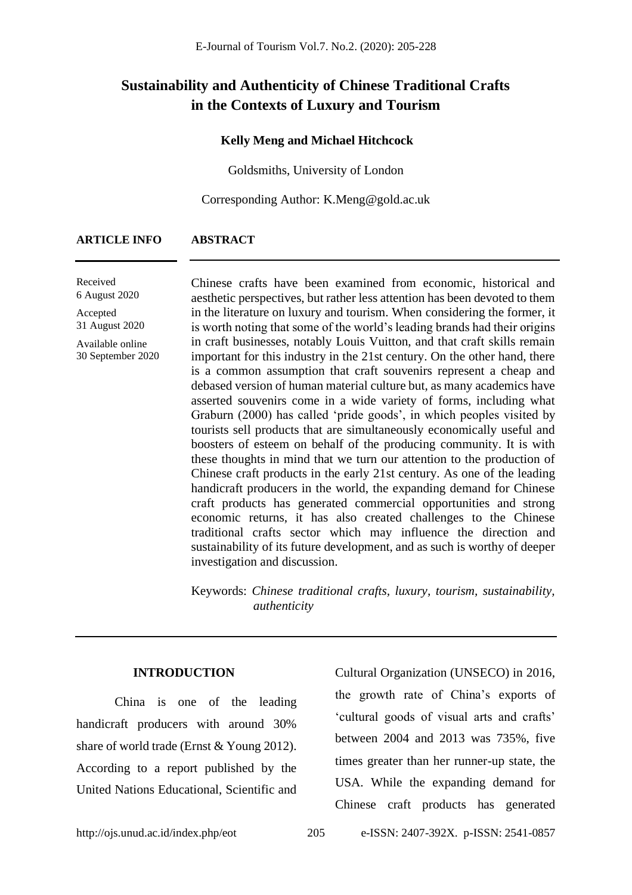# **Sustainability and Authenticity of Chinese Traditional Crafts in the Contexts of Luxury and Tourism**

#### **Kelly Meng and Michael Hitchcock**

Goldsmiths, University of London

Corresponding Author: K.Meng@gold.ac.uk

#### **ARTICLE INFO ABSTRACT**

Received 6 August 2020

Accepted 31 August 2020

Available online 30 September 2020 Chinese crafts have been examined from economic, historical and aesthetic perspectives, but rather less attention has been devoted to them in the literature on luxury and tourism. When considering the former, it is worth noting that some of the world's leading brands had their origins in craft businesses, notably Louis Vuitton, and that craft skills remain important for this industry in the 21st century. On the other hand, there is a common assumption that craft souvenirs represent a cheap and debased version of human material culture but, as many academics have asserted souvenirs come in a wide variety of forms, including what Graburn (2000) has called 'pride goods', in which peoples visited by tourists sell products that are simultaneously economically useful and boosters of esteem on behalf of the producing community. It is with these thoughts in mind that we turn our attention to the production of Chinese craft products in the early 21st century. As one of the leading handicraft producers in the world, the expanding demand for Chinese craft products has generated commercial opportunities and strong economic returns, it has also created challenges to the Chinese traditional crafts sector which may influence the direction and sustainability of its future development, and as such is worthy of deeper investigation and discussion.

Keywords: *Chinese traditional crafts, luxury, tourism, sustainability, authenticity*

#### **INTRODUCTION**

China is one of the leading handicraft producers with around 30% share of world trade (Ernst & Young 2012). According to a report published by the United Nations Educational, Scientific and Cultural Organization (UNSECO) in 2016, the growth rate of China's exports of 'cultural goods of visual arts and crafts' between 2004 and 2013 was 735%, five times greater than her runner-up state, the USA. While the expanding demand for Chinese craft products has generated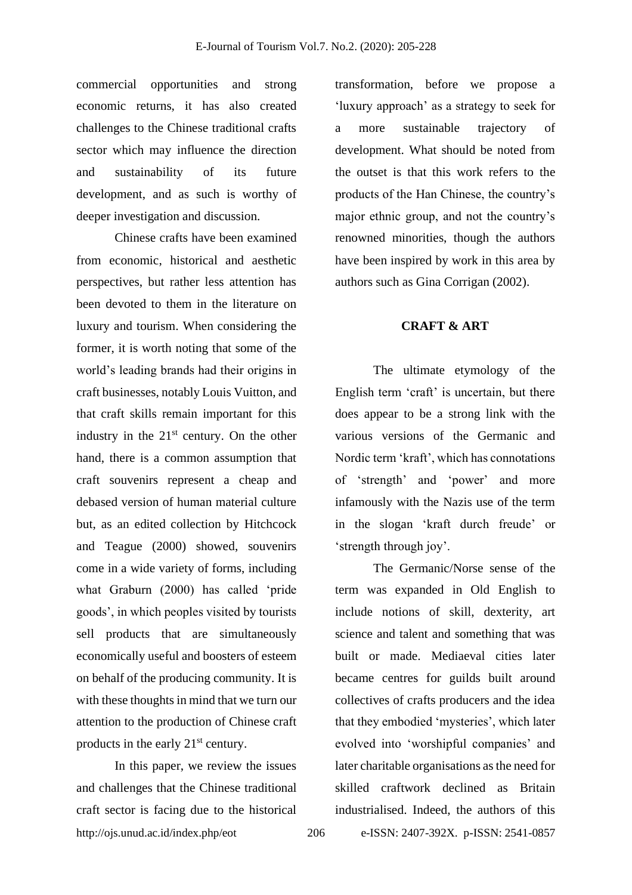commercial opportunities and strong economic returns, it has also created challenges to the Chinese traditional crafts sector which may influence the direction and sustainability of its future development, and as such is worthy of deeper investigation and discussion.

Chinese crafts have been examined from economic, historical and aesthetic perspectives, but rather less attention has been devoted to them in the literature on luxury and tourism. When considering the former, it is worth noting that some of the world's leading brands had their origins in craft businesses, notably Louis Vuitton, and that craft skills remain important for this industry in the  $21<sup>st</sup>$  century. On the other hand, there is a common assumption that craft souvenirs represent a cheap and debased version of human material culture but, as an edited collection by Hitchcock and Teague (2000) showed, souvenirs come in a wide variety of forms, including what Graburn (2000) has called 'pride goods', in which peoples visited by tourists sell products that are simultaneously economically useful and boosters of esteem on behalf of the producing community. It is with these thoughts in mind that we turn our attention to the production of Chinese craft products in the early 21<sup>st</sup> century.

http://ojs.unud.ac.id/index.php/eot 206 e-ISSN: 2407-392X. p-ISSN: 2541-0857 In this paper, we review the issues and challenges that the Chinese traditional craft sector is facing due to the historical

transformation, before we propose a 'luxury approach' as a strategy to seek for a more sustainable trajectory of development. What should be noted from the outset is that this work refers to the products of the Han Chinese, the country's major ethnic group, and not the country's renowned minorities, though the authors have been inspired by work in this area by authors such as Gina Corrigan (2002).

# **CRAFT & ART**

The ultimate etymology of the English term 'craft' is uncertain, but there does appear to be a strong link with the various versions of the Germanic and Nordic term 'kraft', which has connotations of 'strength' and 'power' and more infamously with the Nazis use of the term in the slogan 'kraft durch freude' or 'strength through joy'.

The Germanic/Norse sense of the term was expanded in Old English to include notions of skill, dexterity, art science and talent and something that was built or made. Mediaeval cities later became centres for guilds built around collectives of crafts producers and the idea that they embodied 'mysteries', which later evolved into 'worshipful companies' and later charitable organisations as the need for skilled craftwork declined as Britain industrialised. Indeed, the authors of this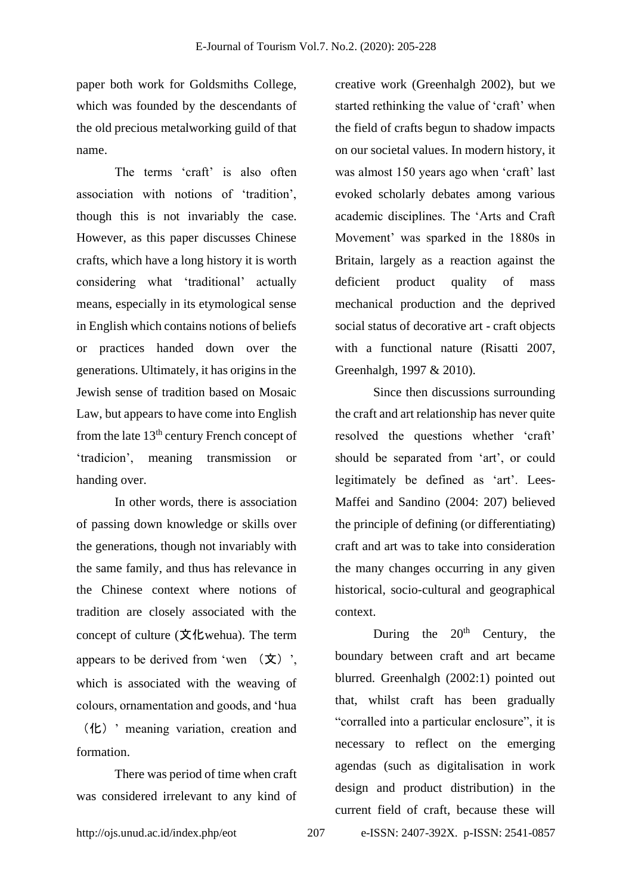paper both work for Goldsmiths College, which was founded by the descendants of the old precious metalworking guild of that name.

The terms 'craft' is also often association with notions of 'tradition', though this is not invariably the case. However, as this paper discusses Chinese crafts, which have a long history it is worth considering what 'traditional' actually means, especially in its etymological sense in English which contains notions of beliefs or practices handed down over the generations. Ultimately, it has origins in the Jewish sense of tradition based on Mosaic Law, but appears to have come into English from the late 13th century French concept of 'tradicion', meaning transmission or handing over.

In other words, there is association of passing down knowledge or skills over the generations, though not invariably with the same family, and thus has relevance in the Chinese context where notions of tradition are closely associated with the concept of culture (文化wehua). The term appears to be derived from 'wen  $(\circ \chi)$ ', which is associated with the weaving of colours, ornamentation and goods, and 'hua (化)' meaning variation, creation and formation.

There was period of time when craft was considered irrelevant to any kind of

creative work (Greenhalgh 2002), but we started rethinking the value of 'craft' when the field of crafts begun to shadow impacts on our societal values. In modern history, it was almost 150 years ago when 'craft' last evoked scholarly debates among various academic disciplines. The 'Arts and Craft Movement' was sparked in the 1880s in Britain, largely as a reaction against the deficient product quality of mass mechanical production and the deprived social status of decorative art - craft objects with a functional nature (Risatti 2007, Greenhalgh, 1997 & 2010).

Since then discussions surrounding the craft and art relationship has never quite resolved the questions whether 'craft' should be separated from 'art', or could legitimately be defined as 'art'. Lees-Maffei and Sandino (2004: 207) believed the principle of defining (or differentiating) craft and art was to take into consideration the many changes occurring in any given historical, socio-cultural and geographical context.

During the  $20<sup>th</sup>$  Century, the boundary between craft and art became blurred. Greenhalgh (2002:1) pointed out that, whilst craft has been gradually "corralled into a particular enclosure", it is necessary to reflect on the emerging agendas (such as digitalisation in work design and product distribution) in the current field of craft, because these will

http://ojs.unud.ac.id/index.php/eot 207 e-ISSN: 2407-392X. p-ISSN: 2541-0857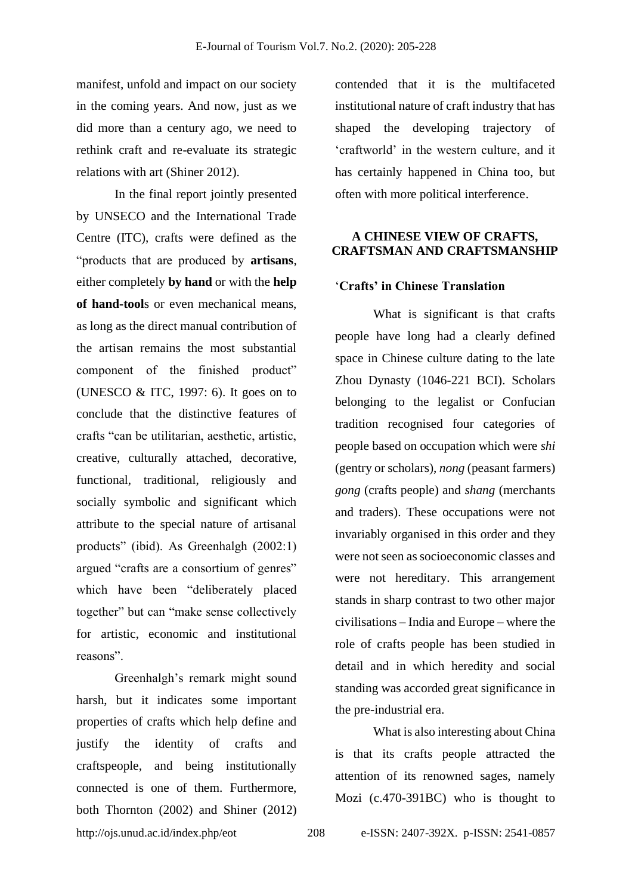manifest, unfold and impact on our society in the coming years. And now, just as we did more than a century ago, we need to rethink craft and re-evaluate its strategic relations with art (Shiner 2012).

In the final report jointly presented by UNSECO and the International Trade Centre (ITC), crafts were defined as the "products that are produced by **artisans**, either completely **by hand** or with the **help of hand-tool**s or even mechanical means, as long as the direct manual contribution of the artisan remains the most substantial component of the finished product" (UNESCO & ITC, 1997: 6). It goes on to conclude that the distinctive features of crafts "can be utilitarian, aesthetic, artistic, creative, culturally attached, decorative, functional, traditional, religiously and socially symbolic and significant which attribute to the special nature of artisanal products" (ibid). As Greenhalgh (2002:1) argued "crafts are a consortium of genres" which have been "deliberately placed together" but can "make sense collectively for artistic, economic and institutional reasons".

Greenhalgh's remark might sound harsh, but it indicates some important properties of crafts which help define and justify the identity of crafts and craftspeople, and being institutionally connected is one of them. Furthermore, both Thornton (2002) and Shiner (2012) contended that it is the multifaceted institutional nature of craft industry that has shaped the developing trajectory of 'craftworld' in the western culture, and it has certainly happened in China too, but often with more political interference.

## **A CHINESE VIEW OF CRAFTS, CRAFTSMAN AND CRAFTSMANSHIP**

# '**Crafts' in Chinese Translation**

What is significant is that crafts people have long had a clearly defined space in Chinese culture dating to the late Zhou Dynasty (1046-221 BCI). Scholars belonging to the legalist or Confucian tradition recognised four categories of people based on occupation which were *shi* (gentry or scholars), *nong* (peasant farmers) *gong* (crafts people) and *shang* (merchants and traders). These occupations were not invariably organised in this order and they were not seen as socioeconomic classes and were not hereditary. This arrangement stands in sharp contrast to two other major civilisations – India and Europe – where the role of crafts people has been studied in detail and in which heredity and social standing was accorded great significance in the pre-industrial era.

What is also interesting about China is that its crafts people attracted the attention of its renowned sages, namely Mozi (c.470-391BC) who is thought to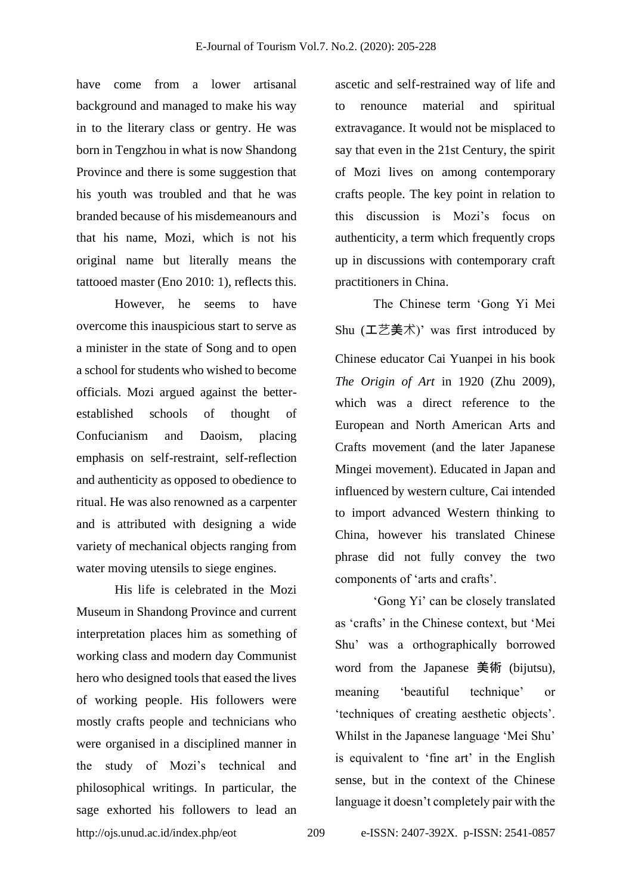have come from a lower artisanal background and managed to make his way in to the literary class or gentry. He was born in Tengzhou in what is now Shandong Province and there is some suggestion that his youth was troubled and that he was branded because of his misdemeanours and that his name, Mozi, which is not his original name but literally means the tattooed master (Eno 2010: 1), reflects this.

However, he seems to have overcome this inauspicious start to serve as a minister in the state of Song and to open a school for students who wished to become officials. Mozi argued against the betterestablished schools of thought of Confucianism and Daoism, placing emphasis on self-restraint, self-reflection and authenticity as opposed to obedience to ritual. He was also renowned as a carpenter and is attributed with designing a wide variety of mechanical objects ranging from water moving utensils to siege engines.

http://ojs.unud.ac.id/index.php/eot 209 e-ISSN: 2407-392X. p-ISSN: 2541-0857 His life is celebrated in the Mozi Museum in Shandong Province and current interpretation places him as something of working class and modern day Communist hero who designed tools that eased the lives of working people. His followers were mostly crafts people and technicians who were organised in a disciplined manner in the study of Mozi's technical and philosophical writings. In particular, the sage exhorted his followers to lead an

ascetic and self-restrained way of life and to renounce material and spiritual extravagance. It would not be misplaced to say that even in the 21st Century, the spirit of Mozi lives on among contemporary crafts people. The key point in relation to this discussion is Mozi's focus on authenticity, a term which frequently crops up in discussions with contemporary craft practitioners in China.

The Chinese term 'Gong Yi Mei Shu  $(\pm \overrightarrow{z})$  was first introduced by Chinese educator Cai Yuanpei in his book *The Origin of Art* in 1920 (Zhu 2009), which was a direct reference to the European and North American Arts and Crafts movement (and the later Japanese Mingei movement). Educated in Japan and influenced by western culture, Cai intended to import advanced Western thinking to China, however his translated Chinese phrase did not fully convey the two components of 'arts and crafts'.

'Gong Yi' can be closely translated as 'crafts' in the Chinese context, but 'Mei Shu' was a orthographically borrowed word from the Japanese 美術 (bijutsu), meaning 'beautiful technique' or 'techniques of creating aesthetic objects'. Whilst in the Japanese language 'Mei Shu' is equivalent to 'fine art' in the English sense, but in the context of the Chinese language it doesn't completely pair with the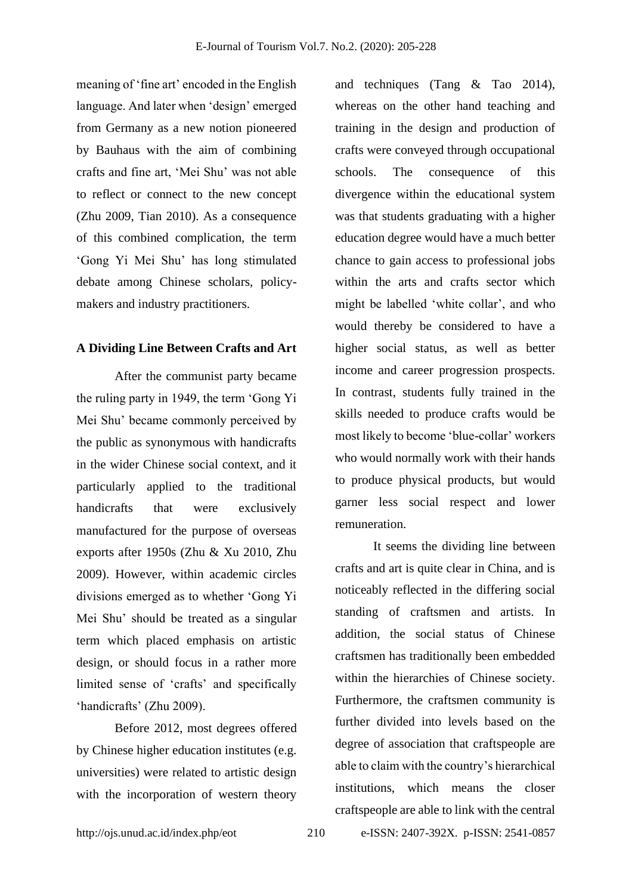meaning of 'fine art' encoded in the English language. And later when 'design' emerged from Germany as a new notion pioneered by Bauhaus with the aim of combining crafts and fine art, 'Mei Shu' was not able to reflect or connect to the new concept (Zhu 2009, Tian 2010). As a consequence of this combined complication, the term 'Gong Yi Mei Shu' has long stimulated debate among Chinese scholars, policymakers and industry practitioners.

## **A Dividing Line Between Crafts and Art**

After the communist party became the ruling party in 1949, the term 'Gong Yi Mei Shu' became commonly perceived by the public as synonymous with handicrafts in the wider Chinese social context, and it particularly applied to the traditional handicrafts that were exclusively manufactured for the purpose of overseas exports after 1950s (Zhu & Xu 2010, Zhu 2009). However, within academic circles divisions emerged as to whether 'Gong Yi Mei Shu' should be treated as a singular term which placed emphasis on artistic design, or should focus in a rather more limited sense of 'crafts' and specifically 'handicrafts' (Zhu 2009).

Before 2012, most degrees offered by Chinese higher education institutes (e.g. universities) were related to artistic design with the incorporation of western theory and techniques (Tang & Tao 2014), whereas on the other hand teaching and training in the design and production of crafts were conveyed through occupational schools. The consequence of this divergence within the educational system was that students graduating with a higher education degree would have a much better chance to gain access to professional jobs within the arts and crafts sector which might be labelled 'white collar', and who would thereby be considered to have a higher social status, as well as better income and career progression prospects. In contrast, students fully trained in the skills needed to produce crafts would be most likely to become 'blue-collar' workers who would normally work with their hands to produce physical products, but would garner less social respect and lower remuneration.

It seems the dividing line between crafts and art is quite clear in China, and is noticeably reflected in the differing social standing of craftsmen and artists. In addition, the social status of Chinese craftsmen has traditionally been embedded within the hierarchies of Chinese society. Furthermore, the craftsmen community is further divided into levels based on the degree of association that craftspeople are able to claim with the country's hierarchical institutions, which means the closer craftspeople are able to link with the central

http://ojs.unud.ac.id/index.php/eot 210 e-ISSN: 2407-392X. p-ISSN: 2541-0857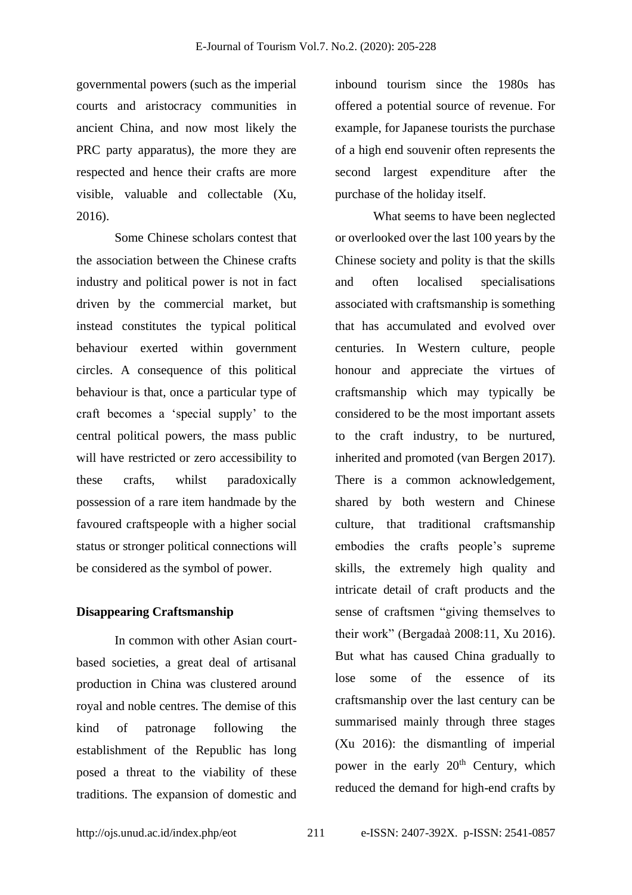governmental powers (such as the imperial courts and aristocracy communities in ancient China, and now most likely the PRC party apparatus), the more they are respected and hence their crafts are more visible, valuable and collectable (Xu, 2016).

Some Chinese scholars contest that the association between the Chinese crafts industry and political power is not in fact driven by the commercial market, but instead constitutes the typical political behaviour exerted within government circles. A consequence of this political behaviour is that, once a particular type of craft becomes a 'special supply' to the central political powers, the mass public will have restricted or zero accessibility to these crafts, whilst paradoxically possession of a rare item handmade by the favoured craftspeople with a higher social status or stronger political connections will be considered as the symbol of power.

## **Disappearing Craftsmanship**

In common with other Asian courtbased societies, a great deal of artisanal production in China was clustered around royal and noble centres. The demise of this kind of patronage following the establishment of the Republic has long posed a threat to the viability of these traditions. The expansion of domestic and inbound tourism since the 1980s has offered a potential source of revenue. For example, for Japanese tourists the purchase of a high end souvenir often represents the second largest expenditure after the purchase of the holiday itself.

What seems to have been neglected or overlooked over the last 100 years by the Chinese society and polity is that the skills and often localised specialisations associated with craftsmanship is something that has accumulated and evolved over centuries. In Western culture, people honour and appreciate the virtues of craftsmanship which may typically be considered to be the most important assets to the craft industry, to be nurtured, inherited and promoted (van Bergen 2017). There is a common acknowledgement, shared by both western and Chinese culture, that traditional craftsmanship embodies the crafts people's supreme skills, the extremely high quality and intricate detail of craft products and the sense of craftsmen "giving themselves to their work" (Bergadaà 2008:11, Xu 2016). But what has caused China gradually to lose some of the essence of its craftsmanship over the last century can be summarised mainly through three stages (Xu 2016): the dismantling of imperial power in the early 20<sup>th</sup> Century, which reduced the demand for high-end crafts by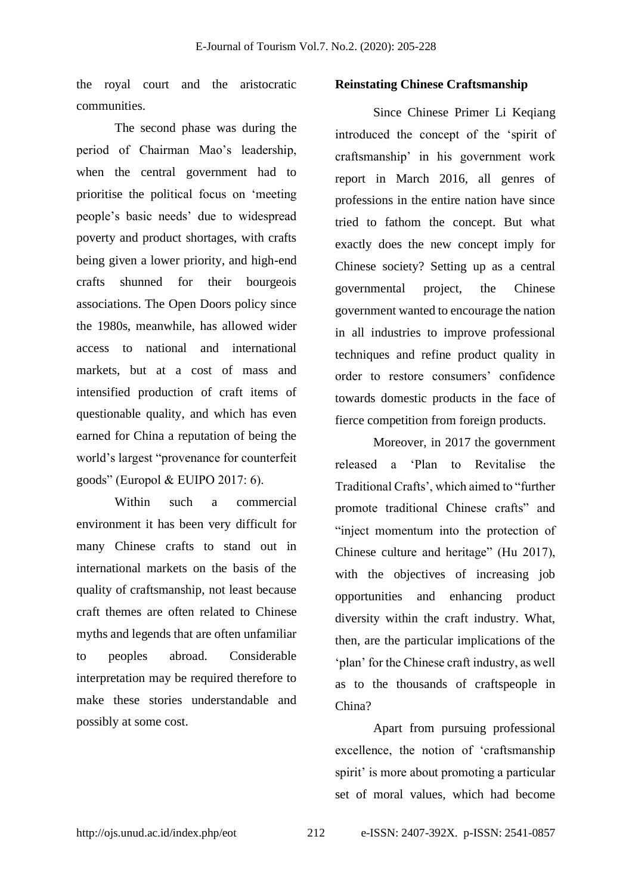the royal court and the aristocratic communities.

The second phase was during the period of Chairman Mao's leadership, when the central government had to prioritise the political focus on 'meeting people's basic needs' due to widespread poverty and product shortages, with crafts being given a lower priority, and high-end crafts shunned for their bourgeois associations. The Open Doors policy since the 1980s, meanwhile, has allowed wider access to national and international markets, but at a cost of mass and intensified production of craft items of questionable quality, and which has even earned for China a reputation of being the world's largest "provenance for counterfeit goods" (Europol & EUIPO 2017: 6).

Within such a commercial environment it has been very difficult for many Chinese crafts to stand out in international markets on the basis of the quality of craftsmanship, not least because craft themes are often related to Chinese myths and legends that are often unfamiliar to peoples abroad. Considerable interpretation may be required therefore to make these stories understandable and possibly at some cost.

#### **Reinstating Chinese Craftsmanship**

Since Chinese Primer Li Keqiang introduced the concept of the 'spirit of craftsmanship' in his government work report in March 2016, all genres of professions in the entire nation have since tried to fathom the concept. But what exactly does the new concept imply for Chinese society? Setting up as a central governmental project, the Chinese government wanted to encourage the nation in all industries to improve professional techniques and refine product quality in order to restore consumers' confidence towards domestic products in the face of fierce competition from foreign products.

Moreover, in 2017 the government released a 'Plan to Revitalise the Traditional Crafts', which aimed to "further promote traditional Chinese crafts" and "inject momentum into the protection of Chinese culture and heritage" (Hu 2017), with the objectives of increasing job opportunities and enhancing product diversity within the craft industry. What, then, are the particular implications of the 'plan' for the Chinese craft industry, as well as to the thousands of craftspeople in China?

Apart from pursuing professional excellence, the notion of 'craftsmanship spirit' is more about promoting a particular set of moral values, which had become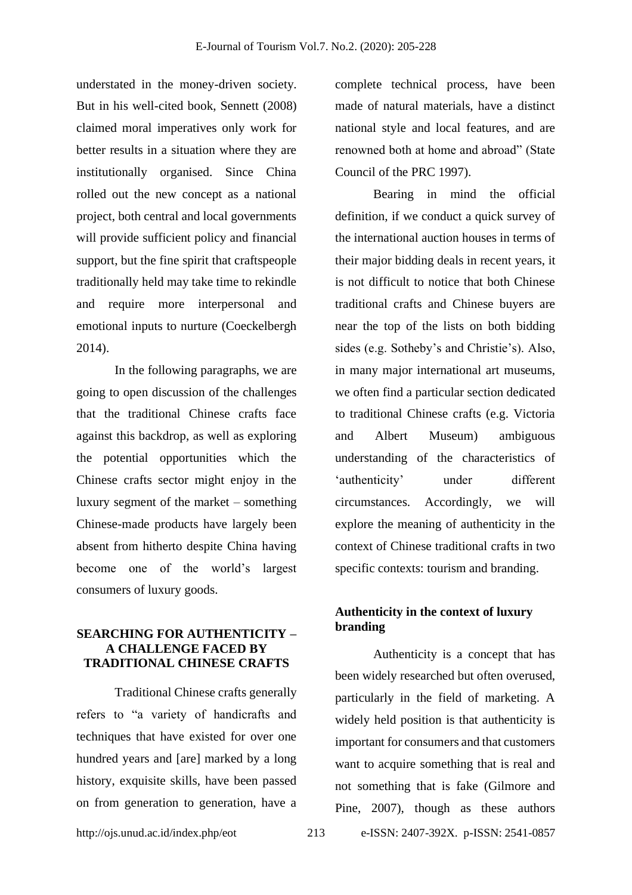understated in the money-driven society. But in his well-cited book, Sennett (2008) claimed moral imperatives only work for better results in a situation where they are institutionally organised. Since China rolled out the new concept as a national project, both central and local governments will provide sufficient policy and financial support, but the fine spirit that craftspeople traditionally held may take time to rekindle and require more interpersonal and emotional inputs to nurture (Coeckelbergh 2014).

In the following paragraphs, we are going to open discussion of the challenges that the traditional Chinese crafts face against this backdrop, as well as exploring the potential opportunities which the Chinese crafts sector might enjoy in the luxury segment of the market – something Chinese-made products have largely been absent from hitherto despite China having become one of the world's largest consumers of luxury goods.

# **SEARCHING FOR AUTHENTICITY – A CHALLENGE FACED BY TRADITIONAL CHINESE CRAFTS**

Traditional Chinese crafts generally refers to "a variety of handicrafts and techniques that have existed for over one hundred years and [are] marked by a long history, exquisite skills, have been passed on from generation to generation, have a complete technical process, have been made of natural materials, have a distinct national style and local features, and are renowned both at home and abroad" (State Council of the PRC 1997).

Bearing in mind the official definition, if we conduct a quick survey of the international auction houses in terms of their major bidding deals in recent years, it is not difficult to notice that both Chinese traditional crafts and Chinese buyers are near the top of the lists on both bidding sides (e.g. Sotheby's and Christie's). Also, in many major international art museums, we often find a particular section dedicated to traditional Chinese crafts (e.g. Victoria and Albert Museum) ambiguous understanding of the characteristics of 'authenticity' under different circumstances. Accordingly, we will explore the meaning of authenticity in the context of Chinese traditional crafts in two specific contexts: tourism and branding.

# **Authenticity in the context of luxury branding**

Authenticity is a concept that has been widely researched but often overused, particularly in the field of marketing. A widely held position is that authenticity is important for consumers and that customers want to acquire something that is real and not something that is fake (Gilmore and Pine, 2007), though as these authors

http://ojs.unud.ac.id/index.php/eot 213 e-ISSN: 2407-392X. p-ISSN: 2541-0857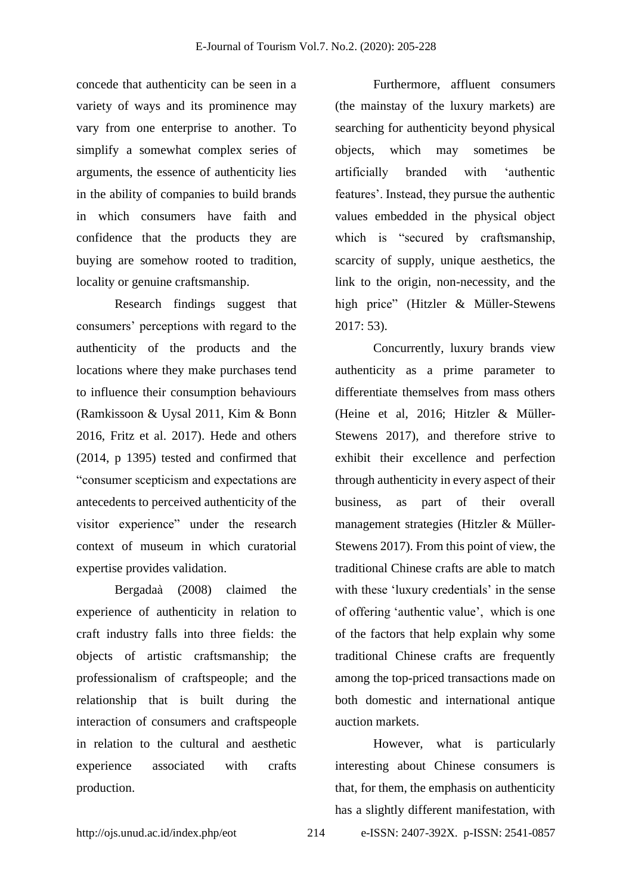concede that authenticity can be seen in a variety of ways and its prominence may vary from one enterprise to another. To simplify a somewhat complex series of arguments, the essence of authenticity lies in the ability of companies to build brands in which consumers have faith and confidence that the products they are buying are somehow rooted to tradition, locality or genuine craftsmanship.

Research findings suggest that consumers' perceptions with regard to the authenticity of the products and the locations where they make purchases tend to influence their consumption behaviours (Ramkissoon & Uysal 2011, Kim & Bonn 2016, Fritz et al. 2017). Hede and others (2014, p 1395) tested and confirmed that "consumer scepticism and expectations are antecedents to perceived authenticity of the visitor experience" under the research context of museum in which curatorial expertise provides validation.

Bergadaà (2008) claimed the experience of authenticity in relation to craft industry falls into three fields: the objects of artistic craftsmanship; the professionalism of craftspeople; and the relationship that is built during the interaction of consumers and craftspeople in relation to the cultural and aesthetic experience associated with crafts production.

Furthermore, affluent consumers (the mainstay of the luxury markets) are searching for authenticity beyond physical objects, which may sometimes be artificially branded with 'authentic features'. Instead, they pursue the authentic values embedded in the physical object which is "secured by craftsmanship, scarcity of supply, unique aesthetics, the link to the origin, non-necessity, and the high price" (Hitzler & Müller-Stewens 2017: 53).

Concurrently, luxury brands view authenticity as a prime parameter to differentiate themselves from mass others (Heine et al, 2016; Hitzler & Müller-Stewens 2017), and therefore strive to exhibit their excellence and perfection through authenticity in every aspect of their business, as part of their overall management strategies (Hitzler & Müller-Stewens 2017). From this point of view, the traditional Chinese crafts are able to match with these 'luxury credentials' in the sense of offering 'authentic value', which is one of the factors that help explain why some traditional Chinese crafts are frequently among the top-priced transactions made on both domestic and international antique auction markets.

However, what is particularly interesting about Chinese consumers is that, for them, the emphasis on authenticity has a slightly different manifestation, with

http://ojs.unud.ac.id/index.php/eot 214 e-ISSN: 2407-392X. p-ISSN: 2541-0857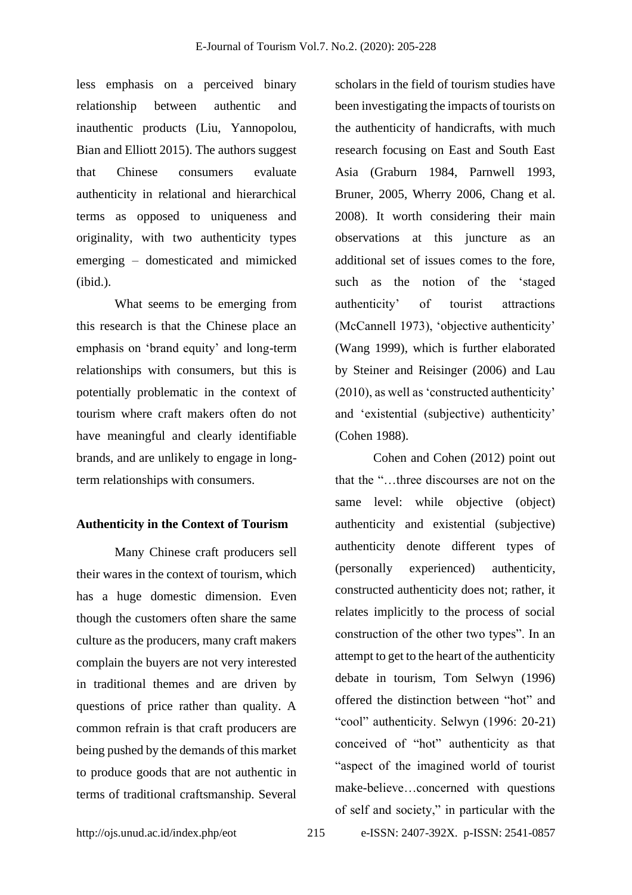less emphasis on a perceived binary relationship between authentic and inauthentic products (Liu, Yannopolou, Bian and Elliott 2015). The authors suggest that Chinese consumers evaluate authenticity in relational and hierarchical terms as opposed to uniqueness and originality, with two authenticity types emerging – domesticated and mimicked (ibid.).

What seems to be emerging from this research is that the Chinese place an emphasis on 'brand equity' and long-term relationships with consumers, but this is potentially problematic in the context of tourism where craft makers often do not have meaningful and clearly identifiable brands, and are unlikely to engage in longterm relationships with consumers.

#### **Authenticity in the Context of Tourism**

Many Chinese craft producers sell their wares in the context of tourism, which has a huge domestic dimension. Even though the customers often share the same culture as the producers, many craft makers complain the buyers are not very interested in traditional themes and are driven by questions of price rather than quality. A common refrain is that craft producers are being pushed by the demands of this market to produce goods that are not authentic in terms of traditional craftsmanship. Several

scholars in the field of tourism studies have been investigating the impacts of tourists on the authenticity of handicrafts, with much research focusing on East and South East Asia (Graburn 1984, Parnwell 1993, Bruner, 2005, Wherry 2006, Chang et al. 2008). It worth considering their main observations at this juncture as an additional set of issues comes to the fore, such as the notion of the 'staged authenticity' of tourist attractions (McCannell 1973), 'objective authenticity' (Wang 1999), which is further elaborated by Steiner and Reisinger (2006) and Lau (2010), as well as 'constructed authenticity' and 'existential (subjective) authenticity' (Cohen 1988).

Cohen and Cohen (2012) point out that the "…three discourses are not on the same level: while objective (object) authenticity and existential (subjective) authenticity denote different types of (personally experienced) authenticity, constructed authenticity does not; rather, it relates implicitly to the process of social construction of the other two types". In an attempt to get to the heart of the authenticity debate in tourism, Tom Selwyn (1996) offered the distinction between "hot" and "cool" authenticity. Selwyn (1996: 20-21) conceived of "hot" authenticity as that "aspect of the imagined world of tourist make-believe…concerned with questions of self and society," in particular with the

http://ojs.unud.ac.id/index.php/eot 215 e-ISSN: 2407-392X. p-ISSN: 2541-0857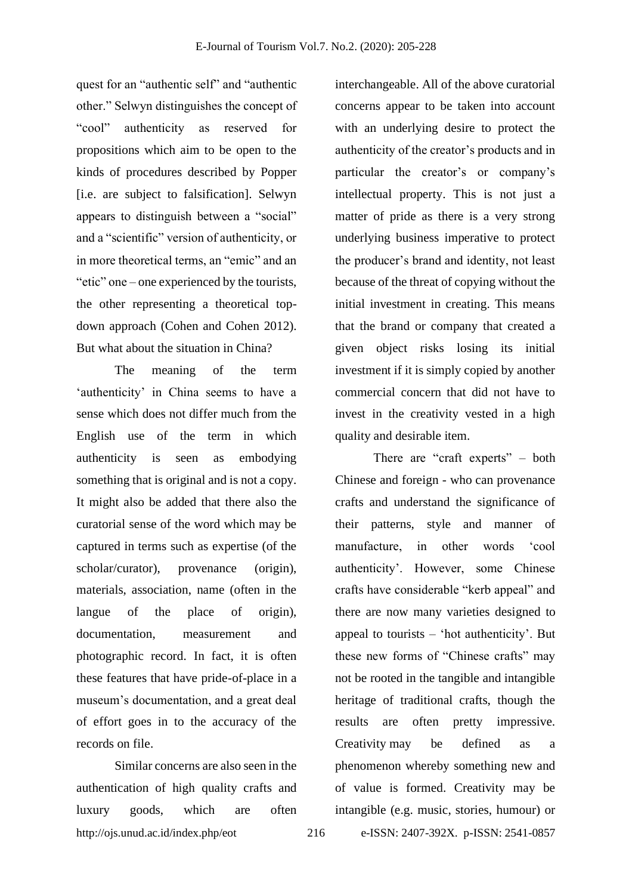quest for an "authentic self" and "authentic other." Selwyn distinguishes the concept of "cool" authenticity as reserved for propositions which aim to be open to the kinds of procedures described by Popper [i.e. are subject to falsification]. Selwyn appears to distinguish between a "social" and a "scientific" version of authenticity, or in more theoretical terms, an "emic" and an "etic" one – one experienced by the tourists, the other representing a theoretical topdown approach (Cohen and Cohen 2012). But what about the situation in China?

The meaning of the term 'authenticity' in China seems to have a sense which does not differ much from the English use of the term in which authenticity is seen as embodying something that is original and is not a copy. It might also be added that there also the curatorial sense of the word which may be captured in terms such as expertise (of the scholar/curator), provenance (origin), materials, association, name (often in the langue of the place of origin), documentation, measurement and photographic record. In fact, it is often these features that have pride-of-place in a museum's documentation, and a great deal of effort goes in to the accuracy of the records on file.

http://ojs.unud.ac.id/index.php/eot 216 e-ISSN: 2407-392X. p-ISSN: 2541-0857 Similar concerns are also seen in the authentication of high quality crafts and luxury goods, which are often

interchangeable. All of the above curatorial concerns appear to be taken into account with an underlying desire to protect the authenticity of the creator's products and in particular the creator's or company's intellectual property. This is not just a matter of pride as there is a very strong underlying business imperative to protect the producer's brand and identity, not least because of the threat of copying without the initial investment in creating. This means that the brand or company that created a given object risks losing its initial investment if it is simply copied by another commercial concern that did not have to invest in the creativity vested in a high quality and desirable item.

There are "craft experts" – both Chinese and foreign - who can provenance crafts and understand the significance of their patterns, style and manner of manufacture, in other words 'cool authenticity'. However, some Chinese crafts have considerable "kerb appeal" and there are now many varieties designed to appeal to tourists – 'hot authenticity'. But these new forms of "Chinese crafts" may not be rooted in the tangible and intangible heritage of traditional crafts, though the results are often pretty impressive. Creativity may be defined as a phenomenon whereby something new and of value is formed. Creativity may be intangible (e.g. music, stories, humour) or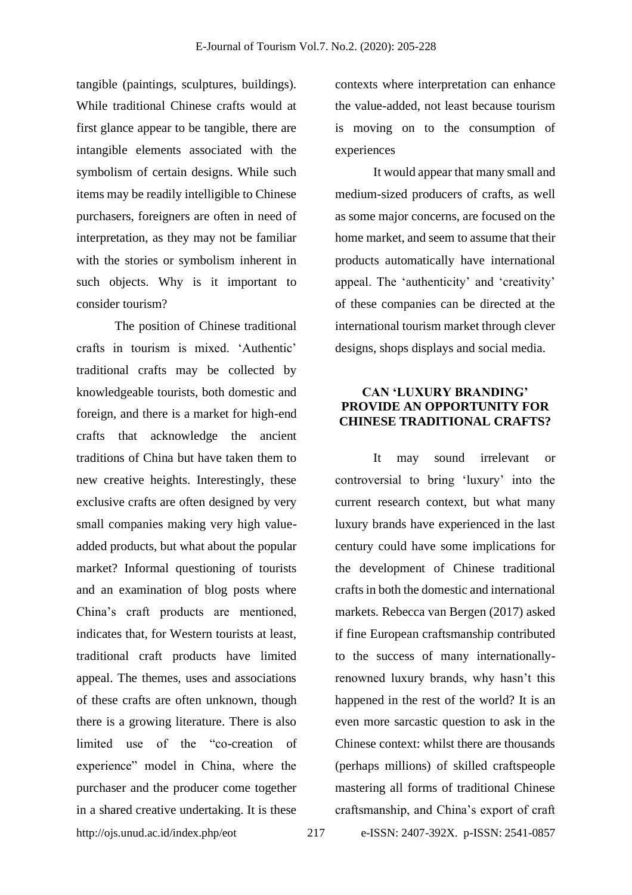tangible (paintings, sculptures, buildings). While traditional Chinese crafts would at first glance appear to be tangible, there are intangible elements associated with the symbolism of certain designs. While such items may be readily intelligible to Chinese purchasers, foreigners are often in need of interpretation, as they may not be familiar with the stories or symbolism inherent in such objects. Why is it important to consider tourism?

http://ojs.unud.ac.id/index.php/eot 217 e-ISSN: 2407-392X. p-ISSN: 2541-0857 The position of Chinese traditional crafts in tourism is mixed. 'Authentic' traditional crafts may be collected by knowledgeable tourists, both domestic and foreign, and there is a market for high-end crafts that acknowledge the ancient traditions of China but have taken them to new creative heights. Interestingly, these exclusive crafts are often designed by very small companies making very high valueadded products, but what about the popular market? Informal questioning of tourists and an examination of blog posts where China's craft products are mentioned, indicates that, for Western tourists at least, traditional craft products have limited appeal. The themes, uses and associations of these crafts are often unknown, though there is a growing literature. There is also limited use of the "co-creation of experience" model in China, where the purchaser and the producer come together in a shared creative undertaking. It is these

contexts where interpretation can enhance the value-added, not least because tourism is moving on to the consumption of experiences

It would appear that many small and medium-sized producers of crafts, as well as some major concerns, are focused on the home market, and seem to assume that their products automatically have international appeal. The 'authenticity' and 'creativity' of these companies can be directed at the international tourism market through clever designs, shops displays and social media.

# **CAN 'LUXURY BRANDING' PROVIDE AN OPPORTUNITY FOR CHINESE TRADITIONAL CRAFTS?**

It may sound irrelevant or controversial to bring 'luxury' into the current research context, but what many luxury brands have experienced in the last century could have some implications for the development of Chinese traditional crafts in both the domestic and international markets. Rebecca van Bergen (2017) asked if fine European craftsmanship contributed to the success of many internationallyrenowned luxury brands, why hasn't this happened in the rest of the world? It is an even more sarcastic question to ask in the Chinese context: whilst there are thousands (perhaps millions) of skilled craftspeople mastering all forms of traditional Chinese craftsmanship, and China's export of craft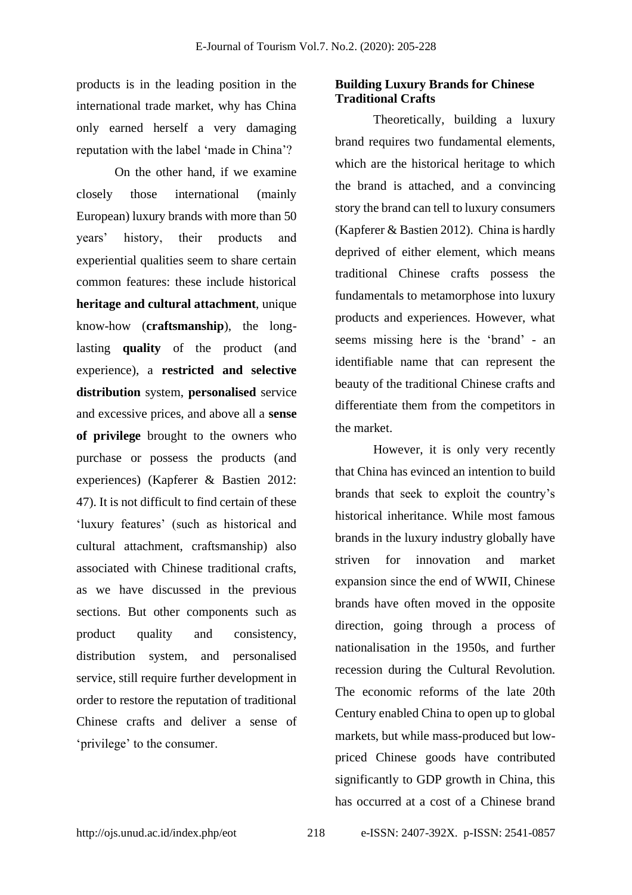products is in the leading position in the international trade market, why has China only earned herself a very damaging reputation with the label 'made in China'?

On the other hand, if we examine closely those international (mainly European) luxury brands with more than 50 years' history, their products and experiential qualities seem to share certain common features: these include historical **heritage and cultural attachment**, unique know-how (**craftsmanship**), the longlasting **quality** of the product (and experience), a **restricted and selective distribution** system, **personalised** service and excessive prices, and above all a **sense of privilege** brought to the owners who purchase or possess the products (and experiences) (Kapferer & Bastien 2012: 47). It is not difficult to find certain of these 'luxury features' (such as historical and cultural attachment, craftsmanship) also associated with Chinese traditional crafts, as we have discussed in the previous sections. But other components such as product quality and consistency, distribution system, and personalised service, still require further development in order to restore the reputation of traditional Chinese crafts and deliver a sense of 'privilege' to the consumer.

# **Building Luxury Brands for Chinese Traditional Crafts**

Theoretically, building a luxury brand requires two fundamental elements, which are the historical heritage to which the brand is attached, and a convincing story the brand can tell to luxury consumers (Kapferer & Bastien 2012). China is hardly deprived of either element, which means traditional Chinese crafts possess the fundamentals to metamorphose into luxury products and experiences. However, what seems missing here is the 'brand' - an identifiable name that can represent the beauty of the traditional Chinese crafts and differentiate them from the competitors in the market.

However, it is only very recently that China has evinced an intention to build brands that seek to exploit the country's historical inheritance. While most famous brands in the luxury industry globally have striven for innovation and market expansion since the end of WWII, Chinese brands have often moved in the opposite direction, going through a process of nationalisation in the 1950s, and further recession during the Cultural Revolution. The economic reforms of the late 20th Century enabled China to open up to global markets, but while mass-produced but lowpriced Chinese goods have contributed significantly to GDP growth in China, this has occurred at a cost of a Chinese brand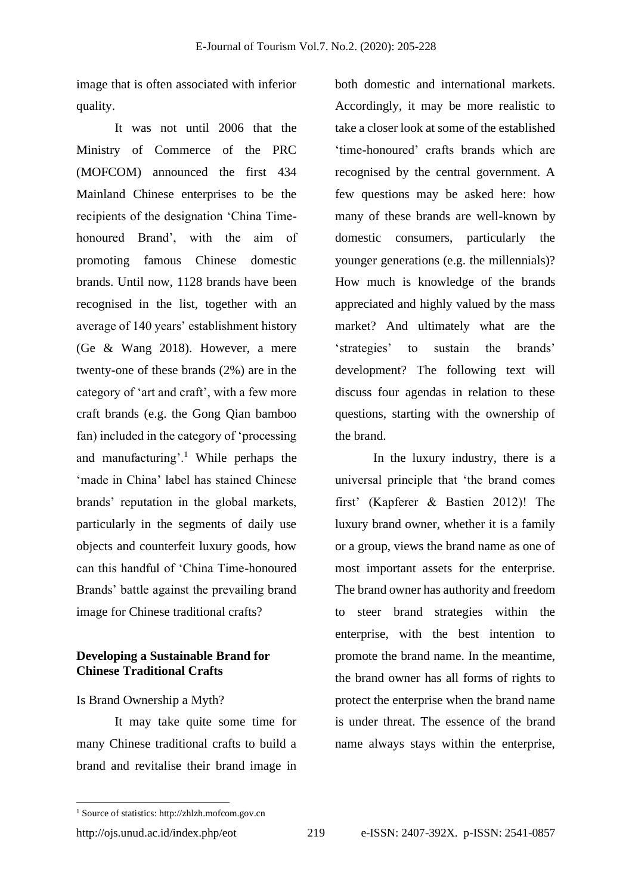image that is often associated with inferior quality.

It was not until 2006 that the Ministry of Commerce of the PRC (MOFCOM) announced the first 434 Mainland Chinese enterprises to be the recipients of the designation 'China Timehonoured Brand', with the aim of promoting famous Chinese domestic brands. Until now, 1128 brands have been recognised in the list, together with an average of 140 years' establishment history (Ge & Wang 2018). However, a mere twenty-one of these brands (2%) are in the category of 'art and craft', with a few more craft brands (e.g. the Gong Qian bamboo fan) included in the category of 'processing and manufacturing'.<sup>1</sup> While perhaps the 'made in China' label has stained Chinese brands' reputation in the global markets, particularly in the segments of daily use objects and counterfeit luxury goods, how can this handful of 'China Time-honoured Brands' battle against the prevailing brand image for Chinese traditional crafts?

# **Developing a Sustainable Brand for Chinese Traditional Crafts**

#### Is Brand Ownership a Myth?

It may take quite some time for many Chinese traditional crafts to build a brand and revitalise their brand image in both domestic and international markets. Accordingly, it may be more realistic to take a closer look at some of the established 'time-honoured' crafts brands which are recognised by the central government. A few questions may be asked here: how many of these brands are well-known by domestic consumers, particularly the younger generations (e.g. the millennials)? How much is knowledge of the brands appreciated and highly valued by the mass market? And ultimately what are the 'strategies' to sustain the brands' development? The following text will discuss four agendas in relation to these questions, starting with the ownership of the brand.

In the luxury industry, there is a universal principle that 'the brand comes first' (Kapferer & Bastien 2012)! The luxury brand owner, whether it is a family or a group, views the brand name as one of most important assets for the enterprise. The brand owner has authority and freedom to steer brand strategies within the enterprise, with the best intention to promote the brand name. In the meantime, the brand owner has all forms of rights to protect the enterprise when the brand name is under threat. The essence of the brand name always stays within the enterprise,

<sup>1</sup> Source of statistics: http://zhlzh.mofcom.gov.cn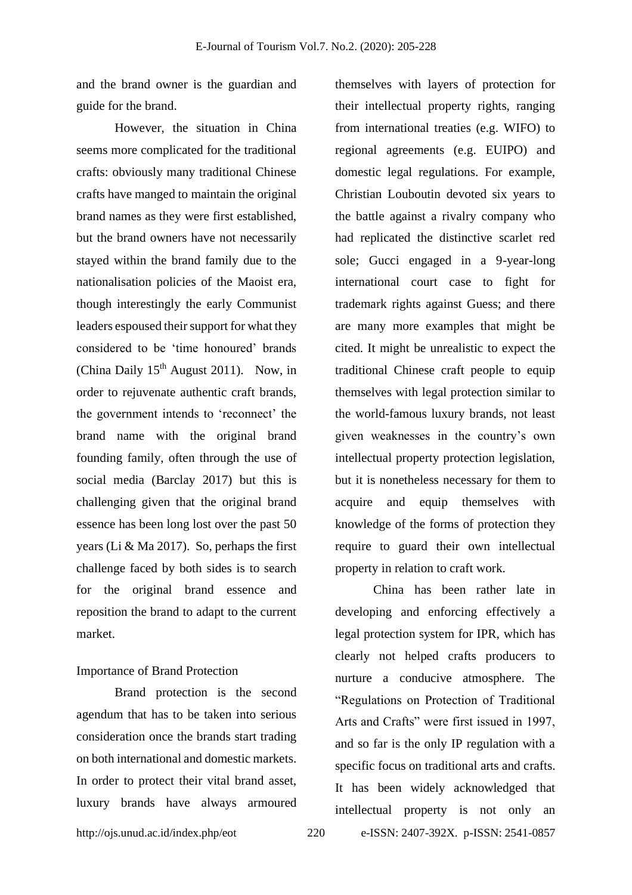and the brand owner is the guardian and guide for the brand.

However, the situation in China seems more complicated for the traditional crafts: obviously many traditional Chinese crafts have manged to maintain the original brand names as they were first established, but the brand owners have not necessarily stayed within the brand family due to the nationalisation policies of the Maoist era, though interestingly the early Communist leaders espoused their support for what they considered to be 'time honoured' brands (China Daily  $15<sup>th</sup>$  August 2011). Now, in order to rejuvenate authentic craft brands, the government intends to 'reconnect' the brand name with the original brand founding family, often through the use of social media (Barclay 2017) but this is challenging given that the original brand essence has been long lost over the past 50 years (Li & Ma 2017). So, perhaps the first challenge faced by both sides is to search for the original brand essence and reposition the brand to adapt to the current market.

#### Importance of Brand Protection

Brand protection is the second agendum that has to be taken into serious consideration once the brands start trading on both international and domestic markets. In order to protect their vital brand asset, luxury brands have always armoured themselves with layers of protection for their intellectual property rights, ranging from international treaties (e.g. WIFO) to regional agreements (e.g. EUIPO) and domestic legal regulations. For example, Christian Louboutin devoted six years to the battle against a rivalry company who had replicated the distinctive scarlet red sole; Gucci engaged in a 9-year-long international court case to fight for trademark rights against Guess; and there are many more examples that might be cited. It might be unrealistic to expect the traditional Chinese craft people to equip themselves with legal protection similar to the world-famous luxury brands, not least given weaknesses in the country's own intellectual property protection legislation, but it is nonetheless necessary for them to acquire and equip themselves with knowledge of the forms of protection they require to guard their own intellectual property in relation to craft work.

China has been rather late in developing and enforcing effectively a legal protection system for IPR, which has clearly not helped crafts producers to nurture a conducive atmosphere. The "Regulations on Protection of Traditional Arts and Crafts" were first issued in 1997, and so far is the only IP regulation with a specific focus on traditional arts and crafts. It has been widely acknowledged that intellectual property is not only an

http://ojs.unud.ac.id/index.php/eot 220 e-ISSN: 2407-392X. p-ISSN: 2541-0857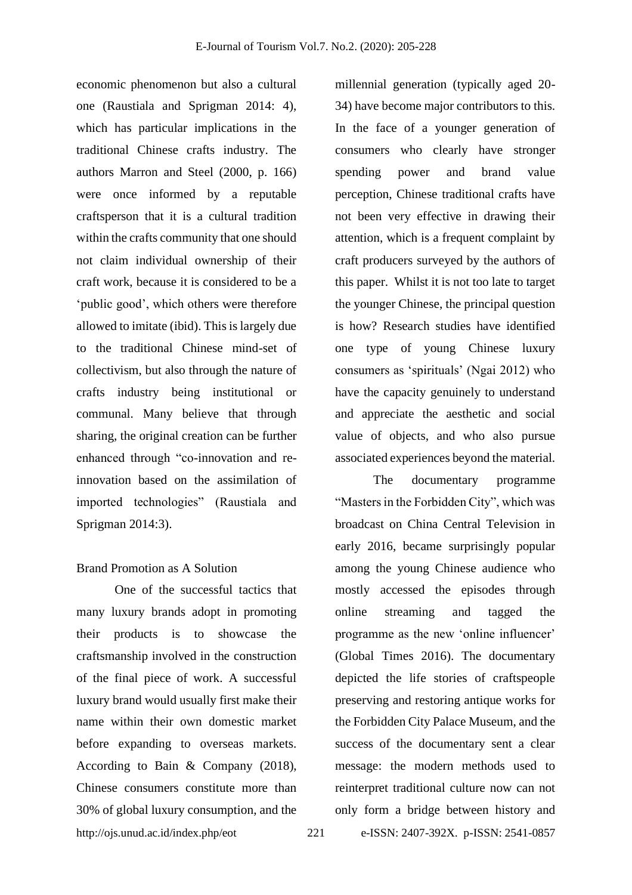economic phenomenon but also a cultural one (Raustiala and Sprigman 2014: 4), which has particular implications in the traditional Chinese crafts industry. The authors Marron and Steel (2000, p. 166) were once informed by a reputable craftsperson that it is a cultural tradition within the crafts community that one should not claim individual ownership of their craft work, because it is considered to be a 'public good', which others were therefore allowed to imitate (ibid). This is largely due to the traditional Chinese mind-set of collectivism, but also through the nature of crafts industry being institutional or communal. Many believe that through sharing, the original creation can be further enhanced through "co-innovation and reinnovation based on the assimilation of imported technologies" (Raustiala and Sprigman 2014:3).

#### Brand Promotion as A Solution

http://ojs.unud.ac.id/index.php/eot 221 e-ISSN: 2407-392X. p-ISSN: 2541-0857 One of the successful tactics that many luxury brands adopt in promoting their products is to showcase the craftsmanship involved in the construction of the final piece of work. A successful luxury brand would usually first make their name within their own domestic market before expanding to overseas markets. According to Bain & Company (2018), Chinese consumers constitute more than 30% of global luxury consumption, and the

millennial generation (typically aged 20- 34) have become major contributors to this. In the face of a younger generation of consumers who clearly have stronger spending power and brand value perception, Chinese traditional crafts have not been very effective in drawing their attention, which is a frequent complaint by craft producers surveyed by the authors of this paper. Whilst it is not too late to target the younger Chinese, the principal question is how? Research studies have identified one type of young Chinese luxury consumers as 'spirituals' (Ngai 2012) who have the capacity genuinely to understand and appreciate the aesthetic and social value of objects, and who also pursue associated experiences beyond the material.

The documentary programme "Masters in the Forbidden City", which was broadcast on China Central Television in early 2016, became surprisingly popular among the young Chinese audience who mostly accessed the episodes through online streaming and tagged the programme as the new 'online influencer' (Global Times 2016). The documentary depicted the life stories of craftspeople preserving and restoring antique works for the Forbidden City Palace Museum, and the success of the documentary sent a clear message: the modern methods used to reinterpret traditional culture now can not only form a bridge between history and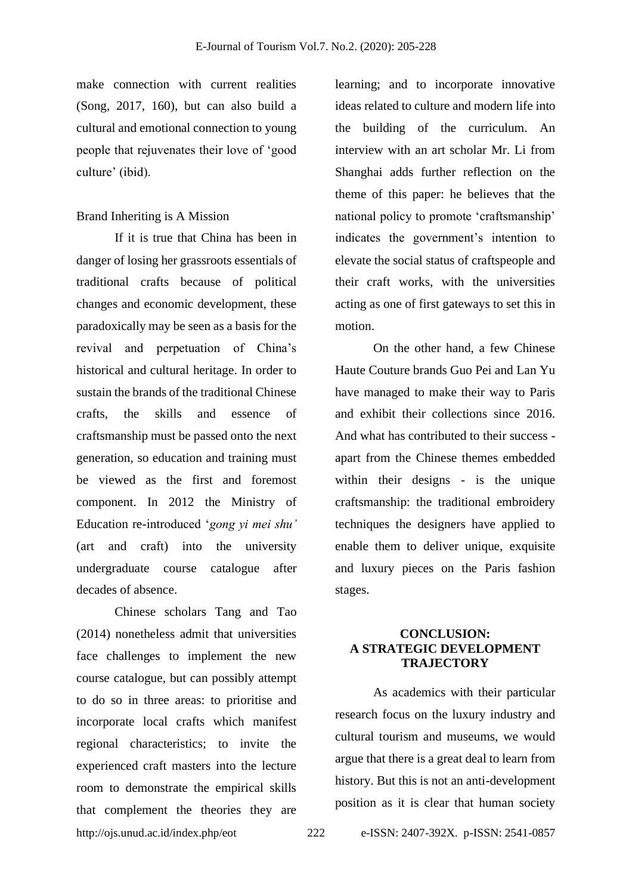make connection with current realities (Song, 2017, 160), but can also build a cultural and emotional connection to young people that rejuvenates their love of 'good culture' (ibid).

#### Brand Inheriting is A Mission

If it is true that China has been in danger of losing her grassroots essentials of traditional crafts because of political changes and economic development, these paradoxically may be seen as a basis for the revival and perpetuation of China's historical and cultural heritage. In order to sustain the brands of the traditional Chinese crafts, the skills and essence of craftsmanship must be passed onto the next generation, so education and training must be viewed as the first and foremost component. In 2012 the Ministry of Education re-introduced '*gong yi mei shu'* (art and craft) into the university undergraduate course catalogue after decades of absence.

http://ojs.unud.ac.id/index.php/eot 222 e-ISSN: 2407-392X. p-ISSN: 2541-0857 Chinese scholars Tang and Tao (2014) nonetheless admit that universities face challenges to implement the new course catalogue, but can possibly attempt to do so in three areas: to prioritise and incorporate local crafts which manifest regional characteristics; to invite the experienced craft masters into the lecture room to demonstrate the empirical skills that complement the theories they are

learning; and to incorporate innovative ideas related to culture and modern life into the building of the curriculum. An interview with an art scholar Mr. Li from Shanghai adds further reflection on the theme of this paper: he believes that the national policy to promote 'craftsmanship' indicates the government's intention to elevate the social status of craftspeople and their craft works, with the universities acting as one of first gateways to set this in motion.

On the other hand, a few Chinese Haute Couture brands Guo Pei and Lan Yu have managed to make their way to Paris and exhibit their collections since 2016. And what has contributed to their success apart from the Chinese themes embedded within their designs - is the unique craftsmanship: the traditional embroidery techniques the designers have applied to enable them to deliver unique, exquisite and luxury pieces on the Paris fashion stages.

## **CONCLUSION: A STRATEGIC DEVELOPMENT TRAJECTORY**

As academics with their particular research focus on the luxury industry and cultural tourism and museums, we would argue that there is a great deal to learn from history. But this is not an anti-development position as it is clear that human society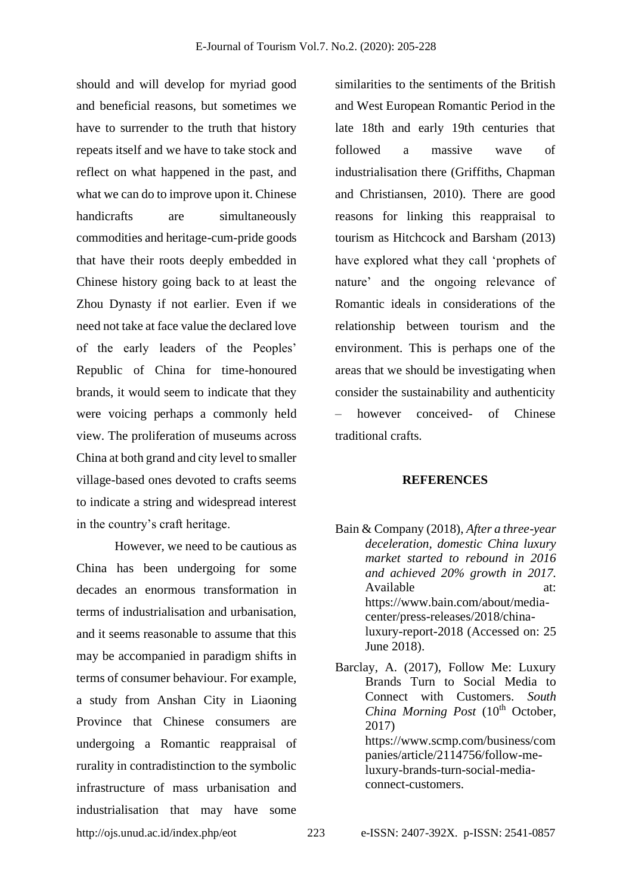should and will develop for myriad good and beneficial reasons, but sometimes we have to surrender to the truth that history repeats itself and we have to take stock and reflect on what happened in the past, and what we can do to improve upon it. Chinese handicrafts are simultaneously commodities and heritage-cum-pride goods that have their roots deeply embedded in Chinese history going back to at least the Zhou Dynasty if not earlier. Even if we need not take at face value the declared love of the early leaders of the Peoples' Republic of China for time-honoured brands, it would seem to indicate that they were voicing perhaps a commonly held view. The proliferation of museums across China at both grand and city level to smaller village-based ones devoted to crafts seems to indicate a string and widespread interest in the country's craft heritage.

http://ojs.unud.ac.id/index.php/eot 223 e-ISSN: 2407-392X. p-ISSN: 2541-0857 However, we need to be cautious as China has been undergoing for some decades an enormous transformation in terms of industrialisation and urbanisation, and it seems reasonable to assume that this may be accompanied in paradigm shifts in terms of consumer behaviour. For example, a study from Anshan City in Liaoning Province that Chinese consumers are undergoing a Romantic reappraisal of rurality in contradistinction to the symbolic infrastructure of mass urbanisation and industrialisation that may have some

similarities to the sentiments of the British and West European Romantic Period in the late 18th and early 19th centuries that followed a massive wave of industrialisation there (Griffiths, Chapman and Christiansen, 2010). There are good reasons for linking this reappraisal to tourism as Hitchcock and Barsham (2013) have explored what they call 'prophets of nature' and the ongoing relevance of Romantic ideals in considerations of the relationship between tourism and the environment. This is perhaps one of the areas that we should be investigating when consider the sustainability and authenticity however conceived- of Chinese traditional crafts.

#### **REFERENCES**

- Bain & Company (2018), *After a three-year deceleration, domestic China luxury market started to rebound in 2016 and achieved 20% growth in 2017.* Available https://www.bain.com/about/mediacenter/press-releases/2018/chinaluxury-report-2018 (Accessed on: 25 June 2018).
- Barclay, A. (2017), Follow Me: Luxury Brands Turn to Social Media to Connect with Customers. *South China Morning Post* (10<sup>th</sup> October, 2017) https://www.scmp.com/business/com panies/article/2114756/follow-meluxury-brands-turn-social-mediaconnect-customers.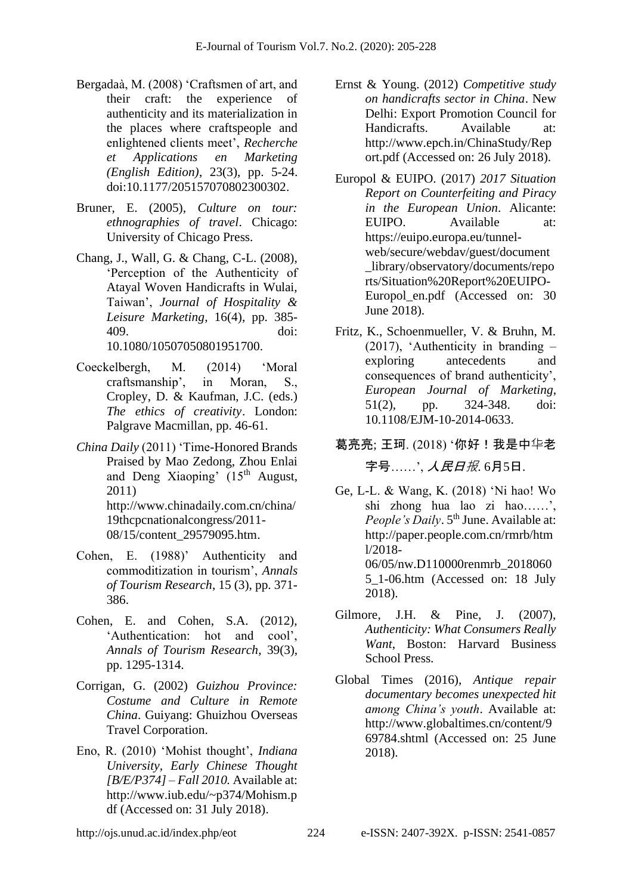- Bergadaà, M. (2008) 'Craftsmen of art, and their craft: the experience of authenticity and its materialization in the places where craftspeople and enlightened clients meet', *Recherche et Applications en Marketing (English Edition)*, 23(3), pp. 5-24. doi:10.1177/205157070802300302.
- Bruner, E. (2005), *Culture on tour: ethnographies of travel*. Chicago: University of Chicago Press.
- Chang, J., Wall, G. & Chang, C-L. (2008), 'Perception of the Authenticity of Atayal Woven Handicrafts in Wulai, Taiwan', *Journal of Hospitality & Leisure Marketing*, 16(4), pp. 385- 409. doi: 10.1080/10507050801951700.
- Coeckelbergh, M. (2014) 'Moral craftsmanship', in Moran, S., Cropley, D. & Kaufman, J.C. (eds.) *The ethics of creativity*. London: Palgrave Macmillan, pp. 46-61.
- *China Daily* (2011) 'Time-Honored Brands Praised by Mao Zedong, Zhou Enlai and Deng Xiaoping' (15<sup>th</sup> August, 2011) http://www.chinadaily.com.cn/china/ 19thcpcnationalcongress/2011- 08/15/content\_29579095.htm.
- Cohen, E. (1988)' Authenticity and commoditization in tourism', *Annals of Tourism Research*, 15 (3), pp. 371- 386.
- Cohen, E. and Cohen, S.A. (2012), 'Authentication: hot and cool', *Annals of Tourism Research*, 39(3), pp. 1295-1314.
- Corrigan, G. (2002) *Guizhou Province: Costume and Culture in Remote China*. Guiyang: Ghuizhou Overseas Travel Corporation.
- Eno, R. (2010) 'Mohist thought', *Indiana University, Early Chinese Thought [B/E/P374] – Fall 2010.* Available at: http://www.iub.edu/~p374/Mohism.p df (Accessed on: 31 July 2018).
- Ernst & Young. (2012) *Competitive study on handicrafts sector in China*. New Delhi: Export Promotion Council for Handicrafts. Available at: http://www.epch.in/ChinaStudy/Rep ort.pdf (Accessed on: 26 July 2018).
- Europol & EUIPO. (2017) *2017 Situation Report on Counterfeiting and Piracy in the European Union*. Alicante: EUIPO. Available at: https://euipo.europa.eu/tunnelweb/secure/webdav/guest/document \_library/observatory/documents/repo rts/Situation%20Report%20EUIPO-Europol\_en.pdf (Accessed on: 30 June 2018).
- Fritz, K., Schoenmueller, V. & Bruhn, M. (2017), 'Authenticity in branding – exploring antecedents and consequences of brand authenticity', *European Journal of Marketing*, 51(2), pp. 324-348. doi: 10.1108/EJM-10-2014-0633.
- 葛亮亮; 王珂. (2018) '你好!我是中华老 字号……', 人民日报. 6月5日.
- Ge, L-L. & Wang, K. (2018) 'Ni hao! Wo shi zhong hua lao zi hao……', *People's Daily.* 5<sup>th</sup> June. Available at: http://paper.people.com.cn/rmrb/htm l/2018- 06/05/nw.D110000renmrb\_2018060 5\_1-06.htm (Accessed on: 18 July 2018).
- Gilmore, J.H. & Pine, J. (2007), *Authenticity: What Consumers Really Want*, Boston: Harvard Business School Press.
- Global Times (2016), *Antique repair documentary becomes unexpected hit among China's youth*. Available at: http://www.globaltimes.cn/content/9 69784.shtml (Accessed on: 25 June 2018).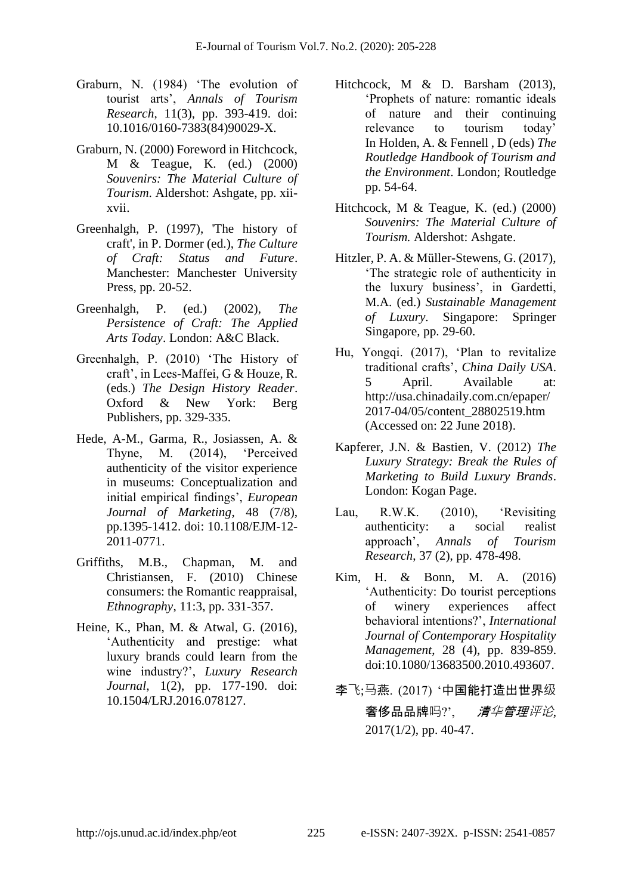- Graburn, N. (1984) 'The evolution of tourist arts', *Annals of Tourism Research*, 11(3), pp. 393-419. doi: 10.1016/0160-7383(84)90029-X.
- Graburn, N. (2000) Foreword in Hitchcock, M & Teague, K. (ed.) (2000) *Souvenirs: The Material Culture of Tourism*. Aldershot: Ashgate, pp. xiixvii.
- Greenhalgh, P. (1997), 'The history of craft', in P. Dormer (ed.), *The Culture of Craft: Status and Future*. Manchester: Manchester University Press, pp. 20-52.
- Greenhalgh, P. (ed.) (2002), *The Persistence of Craft: The Applied Arts Today*. London: A&C Black.
- Greenhalgh, P. (2010) 'The History of craft', in Lees-Maffei, G & Houze, R. (eds.) *The Design History Reader*. Oxford & New York: Berg Publishers, pp. 329-335.
- Hede, A-M., Garma, R., Josiassen, A. & Thyne, M. (2014), 'Perceived authenticity of the visitor experience in museums: Conceptualization and initial empirical findings', *European Journal of Marketing*, 48 (7/8), pp.1395-1412. doi: 10.1108/EJM-12- 2011-0771.
- Griffiths, M.B., Chapman, M. and Christiansen, F. (2010) Chinese consumers: the Romantic reappraisal, *Ethnography*, 11:3, pp. 331-357.
- Heine, K., Phan, M. & Atwal, G. (2016), 'Authenticity and prestige: what luxury brands could learn from the wine industry?', *Luxury Research Journal*, 1(2), pp. 177-190. doi: 10.1504/LRJ.2016.078127.
- Hitchcock, M & D. Barsham (2013), 'Prophets of nature: romantic ideals of nature and their continuing relevance to tourism today' In Holden, A. & Fennell , D (eds) *The Routledge Handbook of Tourism and the Environment*. London; Routledge pp. 54-64.
- Hitchcock, M & Teague, K. (ed.) (2000) *Souvenirs: The Material Culture of Tourism.* Aldershot: Ashgate.
- Hitzler, P. A. & Müller-Stewens, G. (2017), 'The strategic role of authenticity in the luxury business', in Gardetti, M.A. (ed.) *Sustainable Management of Luxury.* Singapore: Springer Singapore, pp. 29-60.
- Hu, Yongqi. (2017), 'Plan to revitalize traditional crafts', *China Daily USA*. 5 April. Available at: http://usa.chinadaily.com.cn/epaper/ 2017-04/05/content\_28802519.htm (Accessed on: 22 June 2018).
- Kapferer, J.N. & Bastien, V. (2012) *The Luxury Strategy: Break the Rules of Marketing to Build Luxury Brands*. London: Kogan Page.
- Lau, R.W.K. (2010), 'Revisiting authenticity: a social realist approach', *Annals of Tourism Research*, 37 (2), pp. 478-498.
- Kim, H. & Bonn, M. A. (2016) 'Authenticity: Do tourist perceptions of winery experiences affect behavioral intentions?', *International Journal of Contemporary Hospitality Management*, 28 (4), pp. 839-859. doi:10.1080/13683500.2010.493607.
- 李飞;马燕. (2017) '中国能打造出世界级 奢侈品品牌吗?', *清华管理评论、* 2017(1/2), pp. 40-47.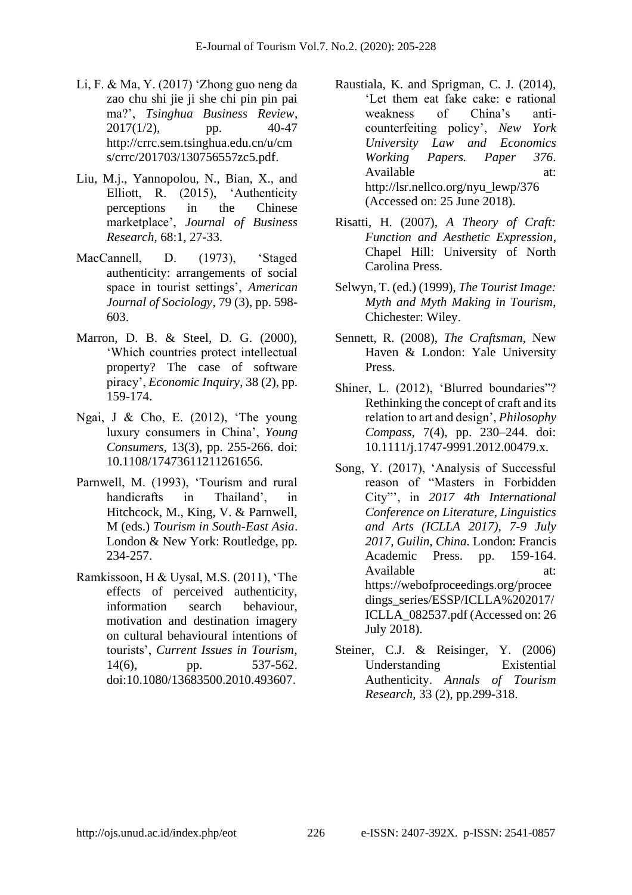- Li, F. & Ma, Y. (2017) 'Zhong guo neng da zao chu shi jie ji she chi pin pin pai ma?', *Tsinghua Business Review*,  $2017(1/2)$ , pp.  $40-47$ http://crrc.sem.tsinghua.edu.cn/u/cm s/crrc/201703/130756557zc5.pdf.
- Liu, M.j., Yannopolou, N., Bian, X., and Elliott, R. (2015), 'Authenticity perceptions in the Chinese marketplace', *Journal of Business Research*, 68:1, 27-33.
- MacCannell, D. (1973), 'Staged authenticity: arrangements of social space in tourist settings', *American Journal of Sociology*, 79 (3), pp. 598- 603.
- Marron, D. B. & Steel, D. G. (2000), 'Which countries protect intellectual property? The case of software piracy', *Economic Inquiry*, 38 (2), pp. 159-174.
- Ngai, J & Cho, E. (2012), 'The young luxury consumers in China', *Young Consumers*, 13(3), pp. 255-266. doi: 10.1108/17473611211261656.
- Parnwell, M. (1993), 'Tourism and rural handicrafts in Thailand', in Hitchcock, M., King, V. & Parnwell, M (eds.) *Tourism in South-East Asia*. London & New York: Routledge, pp. 234-257.
- Ramkissoon, H & Uysal, M.S. (2011), 'The effects of perceived authenticity, information search behaviour, motivation and destination imagery on cultural behavioural intentions of tourists', *Current Issues in Tourism*, 14(6), pp. 537-562. doi:10.1080/13683500.2010.493607.
- Raustiala, K. and Sprigman, C. J. (2014), 'Let them eat fake cake: e rational weakness of China's anticounterfeiting policy', *New York University Law and Economics Working Papers. Paper 376*. Available at: http://lsr.nellco.org/nyu\_lewp/376 (Accessed on: 25 June 2018).
- Risatti, H. (2007), *A Theory of Craft: Function and Aesthetic Expression*, Chapel Hill: University of North Carolina Press.
- Selwyn, T. (ed.) (1999), *The Tourist Image: Myth and Myth Making in Tourism*, Chichester: Wiley.
- Sennett, R. (2008), *The Craftsman*, New Haven & London: Yale University Press.
- Shiner, L. (2012), 'Blurred boundaries"? Rethinking the concept of craft and its relation to art and design', *Philosophy Compass,* 7(4), pp. 230–244. doi: 10.1111/j.1747-9991.2012.00479.x.
- Song, Y. (2017), 'Analysis of Successful reason of "Masters in Forbidden City"', in *2017 4th International Conference on Literature, Linguistics and Arts (ICLLA 2017), 7-9 July 2017, Guilin, China.* London: Francis Academic Press. pp. 159-164. Available at: https://webofproceedings.org/procee dings\_series/ESSP/ICLLA%202017/ ICLLA\_082537.pdf (Accessed on: 26 July 2018).
- Steiner, C.J. & Reisinger, Y. (2006) Understanding Existential Authenticity. *Annals of Tourism Research*, 33 (2), pp.299-318.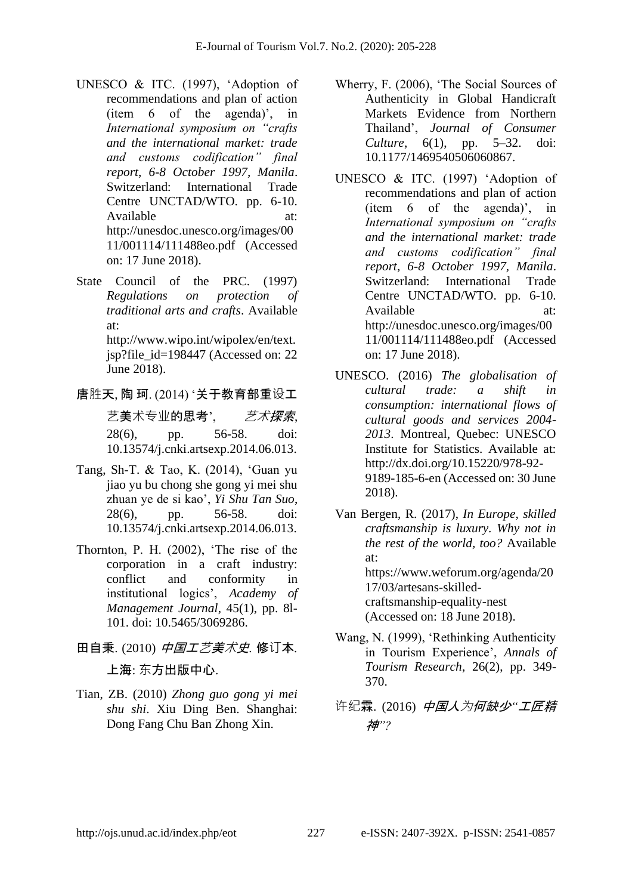- UNESCO & ITC. (1997), 'Adoption of recommendations and plan of action (item 6 of the agenda)', in *International symposium on "crafts and the international market: trade and customs codification" final report*, *6-8 October 1997, Manila*. Switzerland: International Trade Centre UNCTAD/WTO. pp. 6-10. Available at: http://unesdoc.unesco.org/images/00 11/001114/111488eo.pdf (Accessed on: 17 June 2018).
- State Council of the PRC. (1997) *Regulations on protection of traditional arts and crafts*. Available at: http://www.wipo.int/wipolex/en/text. jsp?file\_id=198447 (Accessed on: 22 June 2018).
- 唐胜天, 陶 珂. (2014) '关于教育部重设工 艺美术专业的思考', *艺术探索、* 28(6), pp. 56-58. doi: 10.13574/j.cnki.artsexp.2014.06.013.
- Tang, Sh-T. & Tao, K. (2014), 'Guan yu jiao yu bu chong she gong yi mei shu zhuan ye de si kao', *Yi Shu Tan Suo*, 28(6), pp. 56-58. doi: 10.13574/j.cnki.artsexp.2014.06.013.
- Thornton, P. H. (2002), 'The rise of the corporation in a craft industry: conflict and conformity in institutional logics', *Academy of Management Journal*, 45(1), pp. 8l-101. doi: 10.5465/3069286.
- 田自秉. (2010) 中国工艺美术史*.* 修订本*.* 上海: 东方出版中心.
- Tian, ZB. (2010) *Zhong guo gong yi mei shu shi*. Xiu Ding Ben. Shanghai: Dong Fang Chu Ban Zhong Xin.
- Wherry, F. (2006), 'The Social Sources of Authenticity in Global Handicraft Markets Evidence from Northern Thailand', *Journal of Consumer Culture*, 6(1), pp. 5–32. doi: 10.1177/1469540506060867.
- UNESCO & ITC. (1997) 'Adoption of recommendations and plan of action (item 6 of the agenda)', in *International symposium on "crafts and the international market: trade and customs codification" final report*, *6-8 October 1997, Manila*. Switzerland: International Trade Centre UNCTAD/WTO. pp. 6-10. Available at: http://unesdoc.unesco.org/images/00 11/001114/111488eo.pdf (Accessed on: 17 June 2018).
- UNESCO. (2016) *The globalisation of cultural trade: a shift in consumption: international flows of cultural goods and services 2004- 2013*. Montreal, Quebec: UNESCO Institute for Statistics. Available at: http://dx.doi.org/10.15220/978-92- 9189-185-6-en (Accessed on: 30 June 2018).
- Van Bergen, R. (2017), *In Europe, skilled craftsmanship is luxury. Why not in the rest of the world, too?* Available at: https://www.weforum.org/agenda/20 17/03/artesans-skilledcraftsmanship-equality-nest (Accessed on: 18 June 2018).
- Wang, N. (1999), 'Rethinking Authenticity in Tourism Experience', *Annals of Tourism Research*, 26(2), pp. 349- 370.
- 许纪霖. (2016) 中国人为何缺少*"*工匠精 神*"?*